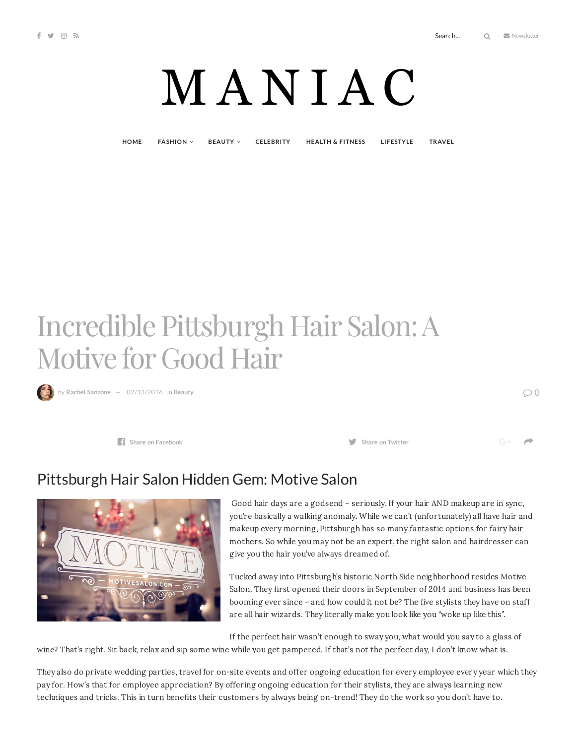# MANIAC

**[HOME](http://maniacmagazine.com/) [FASHION](http://maniacmagazine.com/fashion/) [BEAUTY](http://maniacmagazine.com/beauty/) [CELEBRITY](http://maniacmagazine.com/celebrity/) HEALTH & [FITNESS](http://maniacmagazine.com/beauty/health-and-fitness/) [LIFESTYLE](http://maniacmagazine.com/lifestyle/) [TRAVEL](http://maniacmagazine.com/life/travel/)**

## Incredible Pittsburgh Hair Salon:A Motive for Good Hair

**R b**y Rachel [Sanzone](http://maniacmagazine.com/author/rachel/)  $-$  [02/13/2016](http://maniacmagazine.com/beauty/incredible-pittsburgh-hair-salon-a-motive-for-good-hair/) in [Beauty](http://maniacmagazine.com/beauty/)

**Share** on [Facebook](http://www.facebook.com/sharer.php?u=http%3A%2F%2Fmaniacmagazine.com%2Fbeauty%2Fincredible-pittsburgh-hair-salon-a-motive-for-good-hair%2F)  **<b>Share on Share on Share on Share on Share on Share on Share on Share on Share on Share on Share on Share on Share on Share on Share on Shar** 

 $\rightarrow$ 

### Pittsburgh Hair Salon Hidden Gem: Motive Salon



Good hair days are a godsend – seriously. If your hair AND makeup are in sync, you're basically a walking anomaly. While we can't (unfortunately) all have hair and makeup every morning, Pittsburgh has so many fantastic options for fairy hair mothers. So while you may not be an expert, the right salon and hairdresser can give you the hair you've always dreamed of.

Tucked away into Pittsburgh's historic North Side neighborhood resides Motive Salon. They first opened their doors in September of 2014 and business has been booming ever since – and how could it not be? The five stylists they have on staff are all hair wizards. They literally make you look like you "woke up like this".

If the perfect hair wasn't enough to sway you, what would you say to a glass of wine? That's right. Sit back, relax and sip some wine while you get pampered. If that's not the perfect day, I don't know what is.

They also do private wedding parties, travel for on-site events and offer ongoing education for every employee every year which they pay for. How's that for employee appreciation? By offering ongoing education for their stylists, they are always learning new techniques and tricks. This in turn benefits their customers by always being on-trend! They do the work so you don't have to.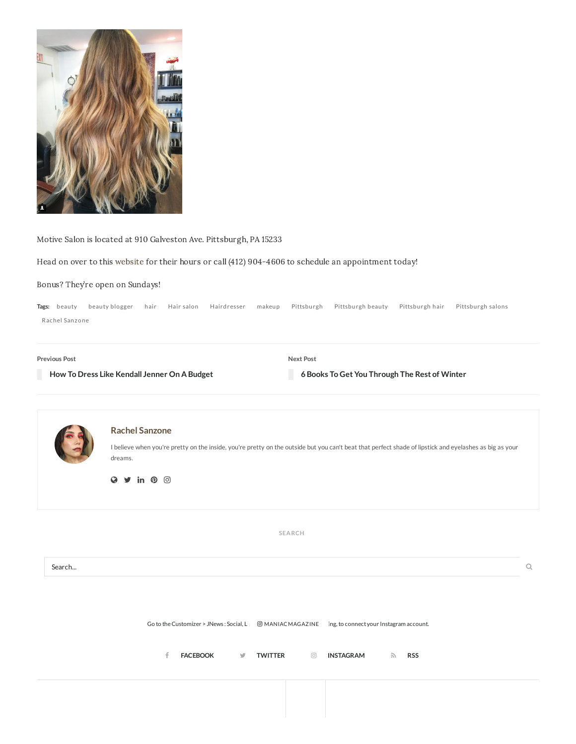

Motive Salon is located at 910 Galveston Ave. Pittsburgh, PA 15233

Head on over to this [website](http://www.motivesalon.com/) for their hours or call (412) 904-4606 to schedule an appointment today!

#### Bonus? They're open on Sundays!

**Tags:** [beauty](http://maniacmagazine.com/tag/beauty-2/) beauty [blogger](http://maniacmagazine.com/tag/beauty-blogger/) [hair](http://maniacmagazine.com/tag/hair/) Hair [salon](http://maniacmagazine.com/tag/hair-salon/) [Hairdresser](http://maniacmagazine.com/tag/hairdresser/) [makeup](http://maniacmagazine.com/tag/makeup/) [Pittsburgh](http://maniacmagazine.com/tag/pittsburgh/) [Pittsburgh](http://maniacmagazine.com/tag/pittsburgh-beauty/) beauty [Pittsburgh](http://maniacmagazine.com/tag/pittsburgh-hair/) hair [Pittsburgh](http://maniacmagazine.com/tag/pittsburgh-salons/) salons Rachel [Sanzone](http://maniacmagazine.com/tag/rachel-sanzone/)

| Previous Post                                | Next Post                                     |
|----------------------------------------------|-----------------------------------------------|
| How To Dress Like Kendall Jenner On A Budget | 6 Books To Get You Through The Rest of Winter |



**SEARCH**

Search...

Go to the Customizer > JNews : Social, Like @MANIACMAGAZINE ing, to connect your Instagram account.

**[FACEBOOK](https://www.facebook.com/maniacmagazine/) [TWITTER](https://twitter.com/maniacmagazine) [INSTAGRAM](http://instagram.com/maniacmagazine) RSS**